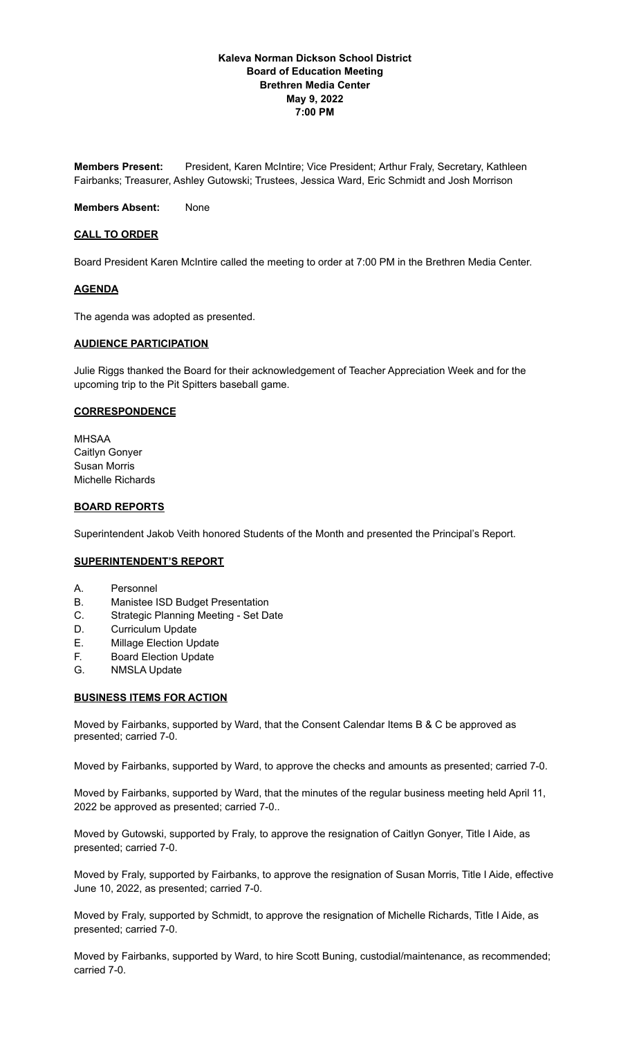# **Kaleva Norman Dickson School District Board of Education Meeting Brethren Media Center May 9, 2022 7:00 PM**

**Members Present:** President, Karen McIntire; Vice President; Arthur Fraly, Secretary, Kathleen Fairbanks; Treasurer, Ashley Gutowski; Trustees, Jessica Ward, Eric Schmidt and Josh Morrison

**Members Absent:** None

# **CALL TO ORDER**

Board President Karen McIntire called the meeting to order at 7:00 PM in the Brethren Media Center.

### **AGENDA**

The agenda was adopted as presented.

### **AUDIENCE PARTICIPATION**

Julie Riggs thanked the Board for their acknowledgement of Teacher Appreciation Week and for the upcoming trip to the Pit Spitters baseball game.

### **CORRESPONDENCE**

MHSAA Caitlyn Gonyer Susan Morris Michelle Richards

### **BOARD REPORTS**

Superintendent Jakob Veith honored Students of the Month and presented the Principal's Report.

#### **SUPERINTENDENT'S REPORT**

- A. Personnel
- B. Manistee ISD Budget Presentation
- C. Strategic Planning Meeting Set Date
- D. Curriculum Update
- E. Millage Election Update
- F. Board Election Update
- G. NMSLA Update

#### **BUSINESS ITEMS FOR ACTION**

Moved by Fairbanks, supported by Ward, that the Consent Calendar Items B & C be approved as presented; carried 7-0.

Moved by Fairbanks, supported by Ward, to approve the checks and amounts as presented; carried 7-0.

Moved by Fairbanks, supported by Ward, that the minutes of the regular business meeting held April 11, 2022 be approved as presented; carried 7-0..

Moved by Gutowski, supported by Fraly, to approve the resignation of Caitlyn Gonyer, Title I Aide, as presented; carried 7-0.

Moved by Fraly, supported by Fairbanks, to approve the resignation of Susan Morris, Title I Aide, effective June 10, 2022, as presented; carried 7-0.

Moved by Fraly, supported by Schmidt, to approve the resignation of Michelle Richards, Title I Aide, as presented; carried 7-0.

Moved by Fairbanks, supported by Ward, to hire Scott Buning, custodial/maintenance, as recommended; carried 7-0.